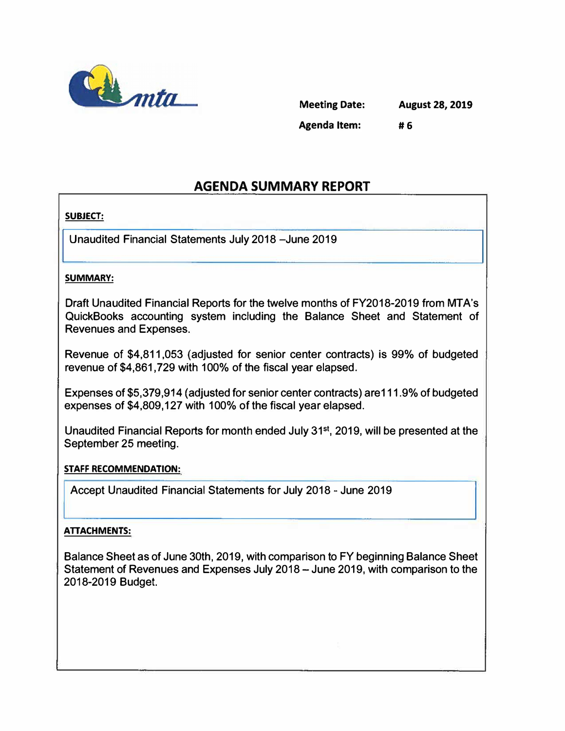

| <b>Meeting Date:</b> | <b>August 28, 2019</b> |
|----------------------|------------------------|
| <b>Agenda Item:</b>  | #6                     |

# **AGENDA SUMMARY REPORT**

## **SUBJECT:**

**Unaudited Financial Statements July 2018-June 2019** 

#### **SUMMARY:**

**Draft Unaudited Financial Reports for the twelve months of FY2018-2019 from MTA's QuickBooks accounting system including the Balance Sheet and Statement of Revenues and Expenses.** 

**Revenue of \$4,811,053 (adjusted for senior center contracts) is 99% of budgeted revenue of \$4,861,729 with 100% of the fiscal year elapsed.** 

**Expenses of \$5,379,914 (adjusted for senior center contracts) are111.9% of budgeted expenses of \$4,809,127 with 100% of the fiscal year elapsed.** 

**Unaudited Financial Reports for month ended July 31st , 2019, will be presented at the September 25 meeting.** 

#### **STAFF RECOMMENDATION:**

**Accept Unaudited Financial Statements for July 2018 - June 2019** 

## **ATTACHMENTS:**

**Balance Sheet as of June 30th, 2019, with comparison to FY beginning Balance Sheet Statement of Revenues and Expenses July 2018 - June 2019, with comparison to the 2018-2019 Budget.**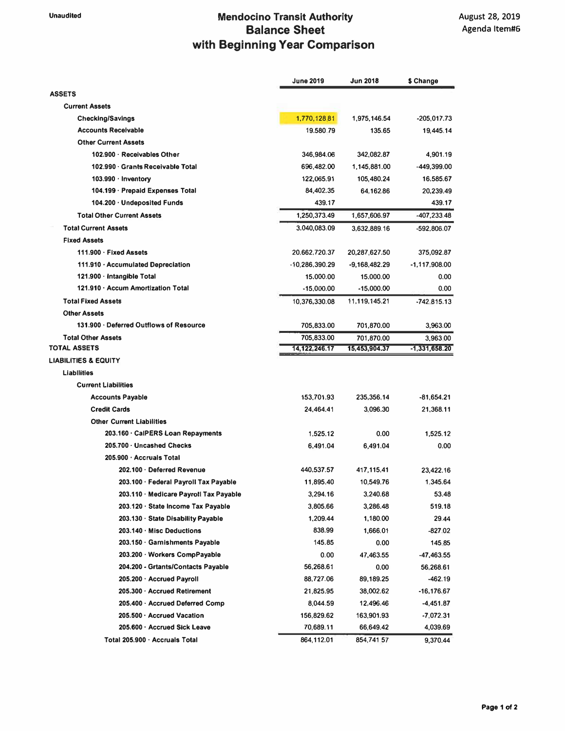## **Unaudited Mendocino Transit Authority Balance Sheet with Beginning Year Comparison**

|                                         | June 2019        | <b>Jun 2018</b> | \$ Change     |
|-----------------------------------------|------------------|-----------------|---------------|
| <b>ASSETS</b>                           |                  |                 |               |
| <b>Current Assets</b>                   |                  |                 |               |
| <b>Checking/Savings</b>                 | 1,770,128.81     | 1,975,146.54    | $-205,017.73$ |
| <b>Accounts Receivable</b>              | 19.580.79        | 135.65          | 19,445.14     |
| <b>Other Current Assets</b>             |                  |                 |               |
| 102.900 · Receivables Other             | 346,984.06       | 342,082.87      | 4.901.19      |
| 102.990 · Grants Receivable Total       | 696,482.00       | 1,145,881.00    | -449,399.00   |
| 103.990 $\cdot$ Inventory               | 122,065.91       | 105,480.24      | 16,585.67     |
| 104.199 · Prepaid Expenses Total        | 84,402.35        | 64.162.86       | 20,239.49     |
| 104.200 · Undeposited Funds             | 439.17           |                 | 439.17        |
| <b>Total Other Current Assets</b>       | 1,250,373.49     | 1,657,606.97    | -407,233.48   |
| <b>Total Current Assets</b>             | 3.040,083.09     | 3,632,889.16    | $-592,806.07$ |
| <b>Fixed Assets</b>                     |                  |                 |               |
| 111.900 · Fixed Assets                  | 20,662,720.37    | 20,287,627.50   | 375,092.87    |
| 111.910 · Accumulated Depreciation      | -10,286,390.29   | $-9,168,482.29$ | -1,117,908.00 |
| 121.900 · Intangible Total              | 15,000.00        | 15,000.00       | 0.00          |
| 121.910 · Accum Amortization Total      | $-15,000.00$     | $-15,000.00$    | 0.00          |
| <b>Total Fixed Assets</b>               | 10.376.330.08    | 11,119,145.21   | $-742.815.13$ |
| <b>Other Assets</b>                     |                  |                 |               |
| 131.900 · Deferred Outflows of Resource | 705.833.00       | 701,870.00      | 3,963.00      |
| <b>Total Other Assets</b>               | 705,833.00       | 701,870.00      | 3,963 00      |
| <b>TOTAL ASSETS</b>                     | 14, 122, 246. 17 | 15,453,904.37   | -1,331,658.20 |
| <b>LIABILITIES &amp; EQUITY</b>         |                  |                 |               |
| <b>Liabilities</b>                      |                  |                 |               |
| <b>Current Liabilities</b>              |                  |                 |               |
| <b>Accounts Payable</b>                 | 153,701.93       | 235,356.14      | -81,654.21    |
| <b>Credit Cards</b>                     | 24,464.41        | 3.096.30        | 21,368.11     |
| <b>Other Current Liabilities</b>        |                  |                 |               |
| 203.160 · CalPERS Loan Repayments       | 1.525.12         | 0.00            | 1,525.12      |
| 205.700 · Uncashed Checks               | 6.491.04         | 6,491.04        | 0.00          |
| 205.900 · Accruals Total                |                  |                 |               |
| 202.100 · Deferred Revenue              | 440,537.57       | 417,115,41      | 23,422.16     |
| 203.100 · Federal Payroll Tax Payable   | 11,895.40        | 10,549.76       | 1.345.64      |
| 203.110 · Medicare Payroll Tax Payable  | 3,294.16         | 3,240.68        | 53.48         |
| 203.120 · State Income Tax Payable      | 3,805.66         | 3,286.48        | 519.18        |
| 203.130 · State Disability Payable      | 1,209.44         | 1,180.00        | 29.44         |
| 203.140 · Misc Deductions               | 838.99           | 1,666.01        | -827.02       |
| 203.150 · Garnishments Payable          | 145.85           | 0.00            | 145.85        |
| 203.200 · Workers CompPayable           | 0.00             | 47,463.55       | -47,463.55    |
| 204.200 - Grtants/Contacts Payable      | 56,268.61        | 0.00            | 56,268.61     |
| 205.200 · Accrued Payroll               | 88,727.06        | 89,189.25       | $-462.19$     |
| 205.300 · Accrued Retirement            | 21,825.95        | 38,002.62       | -16,176.67    |
| 205.400 · Accrued Deferred Comp         | 8,044.59         | 12,496.46       | -4,451.87     |
| 205.500 · Accrued Vacation              | 156,829.62       | 163,901.93      | $-7,072.31$   |
| 205.600 · Accrued Sick Leave            | 70,689.11        | 66,649.42       | 4,039.69      |
| Total 205.900 · Accruals Total          | 864,112.01       | 854,741.57      | 9,370.44      |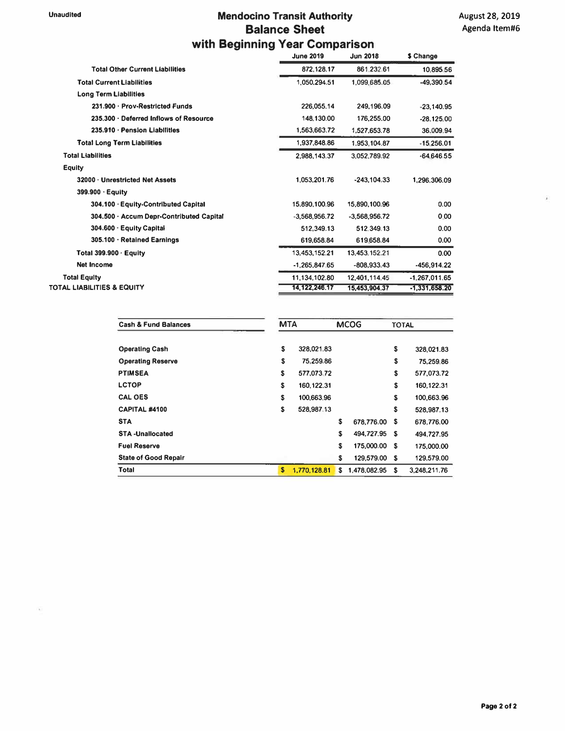## **Unaudited Mendocino Transit Authority Balance Sheet with Beginning Year Comparison**

|                                          | <b>June 2019</b> | <b>Jun 2018</b> | \$ Change       |
|------------------------------------------|------------------|-----------------|-----------------|
| <b>Total Other Current Liabilities</b>   | 872.128.17       | 861.232.61      | 10,895.56       |
| <b>Total Current Liabilities</b>         | 1,050,294.51     | 1,099,685.05    | -49,390.54      |
| <b>Long Term Liabilities</b>             |                  |                 |                 |
| 231.900 · Prov-Restricted Funds          | 226,055.14       | 249,196.09      | $-23,140.95$    |
| 235.300 · Deferred Inflows of Resource   | 148,130.00       | 176,255.00      | $-28.125.00$    |
| 235.910 · Pension Liabilities            | 1,563,663.72     | 1,527,653.78    | 36.009.94       |
| <b>Total Long Term Liabilities</b>       | 1.937.848.86     | 1,953,104.87    | $-15.256.01$    |
| <b>Total Liabilities</b>                 | 2.988.143.37     | 3.052.789.92    | $-64.646.55$    |
| <b>Equity</b>                            |                  |                 |                 |
| 32000 · Unrestricted Net Assets          | 1.053.201.76     | $-243.104.33$   | 1.296.306.09    |
| $399.900 \cdot$ Equity                   |                  |                 |                 |
| 304.100 · Equity-Contributed Capital     | 15,890,100.96    | 15,890,100.96   | 0.00            |
| 304.500 · Accum Depr-Contributed Capital | $-3.568.956.72$  | $-3.568.956.72$ | 0.00            |
| 304.600 · Equity Capital                 | 512,349.13       | 512.349.13      | 0.00            |
| 305.100 · Retained Earnings              | 619,658.84       | 619.658.84      | 0.00            |
| Total 399.900 $\cdot$ Equity             | 13,453,152.21    | 13.453.152.21   | 0.00            |
| <b>Net Income</b>                        | $-1,265,847.65$  | -808,933.43     | $-456,914.22$   |
| <b>Total Equity</b>                      | 11,134,102.80    | 12.401.114.45   | $-1,267,011.65$ |
| TOTAL LIABILITIES & EQUITY               | 14, 122, 246.17  | 15,453,904.37   | $-1,331,658.20$ |

| <b>Cash &amp; Fund Balances</b> |    | <b>MTA</b>   |    | <b>MCOG</b>  |      | <b>TOTAL</b> |  |
|---------------------------------|----|--------------|----|--------------|------|--------------|--|
| <b>Operating Cash</b>           | \$ | 328,021.83   |    |              | \$   | 328,021.83   |  |
| <b>Operating Reserve</b>        | \$ | 75,259.86    |    |              | \$   | 75,259.86    |  |
| <b>PTIMSEA</b>                  | S  | 577.073.72   |    |              | S    | 577,073.72   |  |
| <b>LCTOP</b>                    | \$ | 160,122.31   |    |              | S    | 160,122.31   |  |
| <b>CAL OES</b>                  | \$ | 100.663.96   |    |              | \$   | 100,663.96   |  |
| CAPITAL #4100                   | S  | 528,987.13   |    |              | \$   | 528,987.13   |  |
| <b>STA</b>                      |    |              | \$ | 678,776.00   | S.   | 678.776.00   |  |
| <b>STA-Unallocated</b>          |    |              | S  | 494.727.95   | \$   | 494,727.95   |  |
| <b>Fuel Reserve</b>             |    |              | S  | 175,000.00   | - \$ | 175,000.00   |  |
| <b>State of Good Repair</b>     |    |              | \$ | 129,579.00   | -S   | 129,579.00   |  |
| <b>Total</b>                    | S  | 1,770,128.81 | S. | 1,478,082.95 | S    | 3.248,211.76 |  |